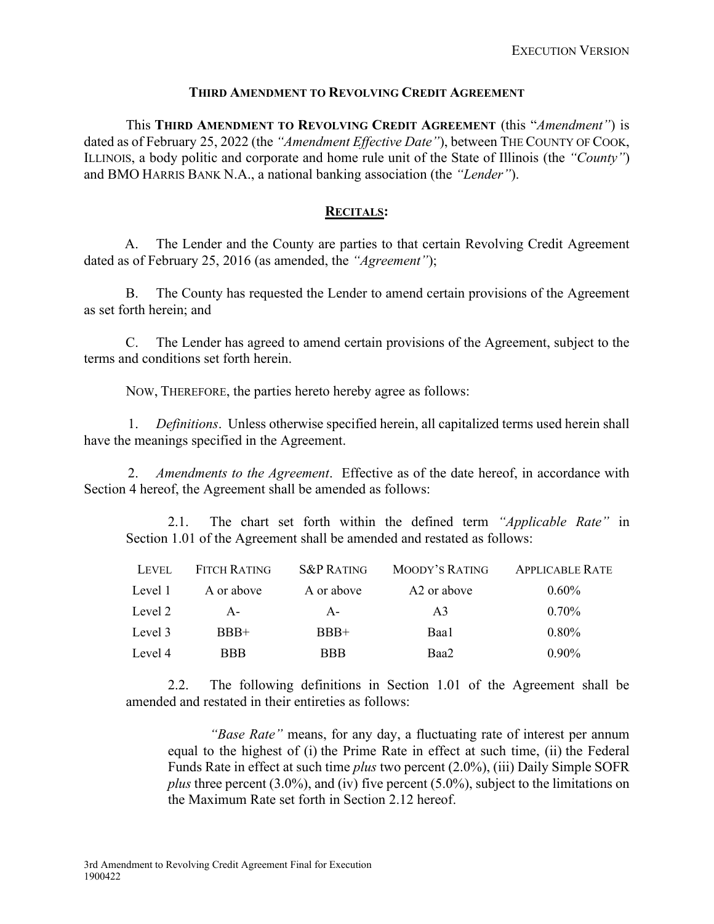#### **THIRD AMENDMENT TO REVOLVING CREDIT AGREEMENT**

This **THIRD AMENDMENT TO REVOLVING CREDIT AGREEMENT** (this "*Amendment"*) is dated as of February 25, 2022 (the "Amendment Effective Date"), between THE COUNTY OF COOK, ILLINOIS, a body politic and corporate and home rule unit of the State of Illinois (the *"County"*) and BMO HARRIS BANK N.A., a national banking association (the *"Lender"*).

## **RECITALS:**

A. The Lender and the County are parties to that certain Revolving Credit Agreement dated as of February 25, 2016 (as amended, the *"Agreement"*);

B. The County has requested the Lender to amend certain provisions of the Agreement as set forth herein; and

C. The Lender has agreed to amend certain provisions of the Agreement, subject to the terms and conditions set forth herein.

NOW, THEREFORE, the parties hereto hereby agree as follows:

1. *Definitions*. Unless otherwise specified herein, all capitalized terms used herein shall have the meanings specified in the Agreement.

2. *Amendments to the Agreement*. Effective as of the date hereof, in accordance with Section 4 hereof, the Agreement shall be amended as follows:

2.1. The chart set forth within the defined term *"Applicable Rate"* in Section 1.01 of the Agreement shall be amended and restated as follows:

| LEVEL   | FITCH RATING | <b>S&amp;P RATING</b> | MOODY'S RATING          | <b>APPLICABLE RATE</b> |
|---------|--------------|-----------------------|-------------------------|------------------------|
| Level 1 | A or above   | A or above            | A <sub>2</sub> or above | $0.60\%$               |
| Level 2 | $A -$        | $A -$                 | A <sub>3</sub>          | $0.70\%$               |
| Level 3 | $BBB+$       | $BBB+$                | Baa1                    | $0.80\%$               |
| Level 4 | <b>BBB</b>   | <b>BBB</b>            | Baa2                    | $0.90\%$               |

2.2. The following definitions in Section 1.01 of the Agreement shall be amended and restated in their entireties as follows:

*"Base Rate"* means, for any day, a fluctuating rate of interest per annum equal to the highest of (i) the Prime Rate in effect at such time, (ii) the Federal Funds Rate in effect at such time *plus* two percent (2.0%), (iii) Daily Simple SOFR *plus* three percent (3.0%), and (iv) five percent (5.0%), subject to the limitations on the Maximum Rate set forth in Section 2.12 hereof.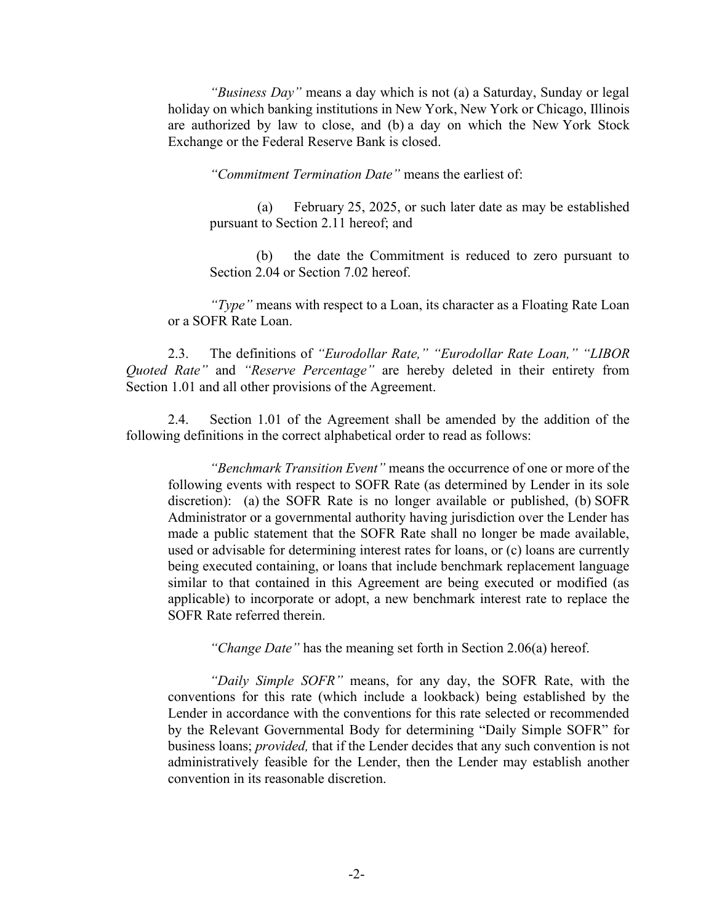*"Business Day"* means a day which is not (a) a Saturday, Sunday or legal holiday on which banking institutions in New York, New York or Chicago, Illinois are authorized by law to close, and (b) a day on which the New York Stock Exchange or the Federal Reserve Bank is closed.

*"Commitment Termination Date"* means the earliest of:

(a) February 25, 2025, or such later date as may be established pursuant to Section 2.11 hereof; and

(b) the date the Commitment is reduced to zero pursuant to Section 2.04 or Section 7.02 hereof.

*"Type"* means with respect to a Loan, its character as a Floating Rate Loan or a SOFR Rate Loan.

2.3. The definitions of *"Eurodollar Rate," "Eurodollar Rate Loan," "LIBOR Quoted Rate"* and *"Reserve Percentage"* are hereby deleted in their entirety from Section 1.01 and all other provisions of the Agreement.

2.4. Section 1.01 of the Agreement shall be amended by the addition of the following definitions in the correct alphabetical order to read as follows:

*"Benchmark Transition Event"* means the occurrence of one or more of the following events with respect to SOFR Rate (as determined by Lender in its sole discretion): (a) the SOFR Rate is no longer available or published, (b) SOFR Administrator or a governmental authority having jurisdiction over the Lender has made a public statement that the SOFR Rate shall no longer be made available, used or advisable for determining interest rates for loans, or (c) loans are currently being executed containing, or loans that include benchmark replacement language similar to that contained in this Agreement are being executed or modified (as applicable) to incorporate or adopt, a new benchmark interest rate to replace the SOFR Rate referred therein.

*"Change Date"* has the meaning set forth in Section 2.06(a) hereof.

*"Daily Simple SOFR"* means, for any day, the SOFR Rate, with the conventions for this rate (which include a lookback) being established by the Lender in accordance with the conventions for this rate selected or recommended by the Relevant Governmental Body for determining "Daily Simple SOFR" for business loans; *provided,* that if the Lender decides that any such convention is not administratively feasible for the Lender, then the Lender may establish another convention in its reasonable discretion.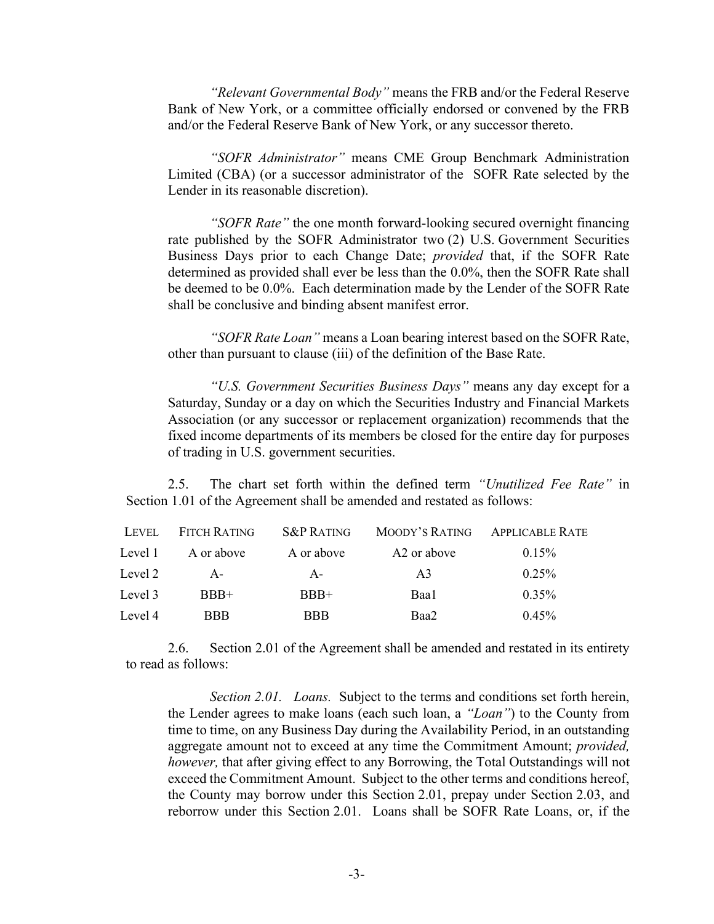*"Relevant Governmental Body"* means the FRB and/or the Federal Reserve Bank of New York, or a committee officially endorsed or convened by the FRB and/or the Federal Reserve Bank of New York, or any successor thereto.

*"SOFR Administrator"* means CME Group Benchmark Administration Limited (CBA) (or a successor administrator of the SOFR Rate selected by the Lender in its reasonable discretion).

*"SOFR Rate"* the one month forward-looking secured overnight financing rate published by the SOFR Administrator two (2) U.S. Government Securities Business Days prior to each Change Date; *provided* that, if the SOFR Rate determined as provided shall ever be less than the 0.0%, then the SOFR Rate shall be deemed to be 0.0%. Each determination made by the Lender of the SOFR Rate shall be conclusive and binding absent manifest error.

*"SOFR Rate Loan"* means a Loan bearing interest based on the SOFR Rate, other than pursuant to clause (iii) of the definition of the Base Rate.

*"U.S. Government Securities Business Days"* means any day except for a Saturday, Sunday or a day on which the Securities Industry and Financial Markets Association (or any successor or replacement organization) recommends that the fixed income departments of its members be closed for the entire day for purposes of trading in U.S. government securities.

2.5. The chart set forth within the defined term *"Unutilized Fee Rate"* in Section 1.01 of the Agreement shall be amended and restated as follows:

| LEVEL   | FITCH RATING | <b>S&amp;P RATING</b> | MOODY'S RATING APPLICABLE RATE |          |
|---------|--------------|-----------------------|--------------------------------|----------|
| Level 1 | A or above   | A or above            | A <sub>2</sub> or above        | $0.15\%$ |
| Level 2 | $A -$        | $A -$                 | A <sub>3</sub>                 | $0.25\%$ |
| Level 3 | $BBB+$       | $BBB+$                | Baa1                           | $0.35\%$ |
| Level 4 | <b>BBB</b>   | <b>BBB</b>            | Baa2                           | $0.45\%$ |

2.6. Section 2.01 of the Agreement shall be amended and restated in its entirety to read as follows:

*Section 2.01. Loans.* Subject to the terms and conditions set forth herein, the Lender agrees to make loans (each such loan, a *"Loan"*) to the County from time to time, on any Business Day during the Availability Period, in an outstanding aggregate amount not to exceed at any time the Commitment Amount; *provided, however,* that after giving effect to any Borrowing, the Total Outstandings will not exceed the Commitment Amount. Subject to the other terms and conditions hereof, the County may borrow under this Section 2.01, prepay under Section 2.03, and reborrow under this Section 2.01. Loans shall be SOFR Rate Loans, or, if the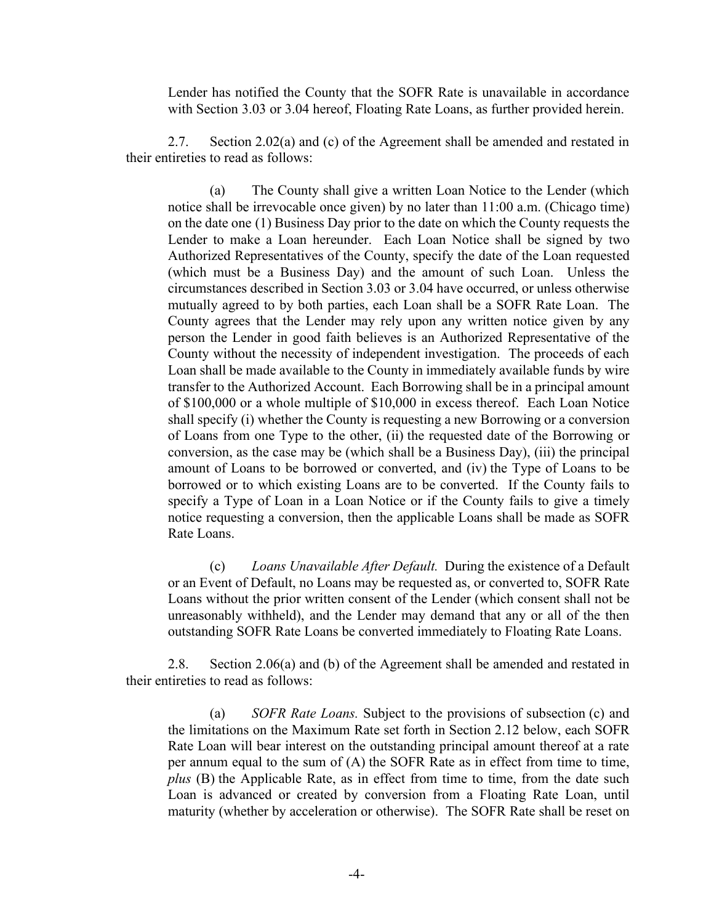Lender has notified the County that the SOFR Rate is unavailable in accordance with Section 3.03 or 3.04 hereof, Floating Rate Loans, as further provided herein.

2.7. Section 2.02(a) and (c) of the Agreement shall be amended and restated in their entireties to read as follows:

(a) The County shall give a written Loan Notice to the Lender (which notice shall be irrevocable once given) by no later than 11:00 a.m. (Chicago time) on the date one (1) Business Day prior to the date on which the County requests the Lender to make a Loan hereunder. Each Loan Notice shall be signed by two Authorized Representatives of the County, specify the date of the Loan requested (which must be a Business Day) and the amount of such Loan. Unless the circumstances described in Section 3.03 or 3.04 have occurred, or unless otherwise mutually agreed to by both parties, each Loan shall be a SOFR Rate Loan. The County agrees that the Lender may rely upon any written notice given by any person the Lender in good faith believes is an Authorized Representative of the County without the necessity of independent investigation. The proceeds of each Loan shall be made available to the County in immediately available funds by wire transfer to the Authorized Account. Each Borrowing shall be in a principal amount of \$100,000 or a whole multiple of \$10,000 in excess thereof. Each Loan Notice shall specify (i) whether the County is requesting a new Borrowing or a conversion of Loans from one Type to the other, (ii) the requested date of the Borrowing or conversion, as the case may be (which shall be a Business Day), (iii) the principal amount of Loans to be borrowed or converted, and (iv) the Type of Loans to be borrowed or to which existing Loans are to be converted. If the County fails to specify a Type of Loan in a Loan Notice or if the County fails to give a timely notice requesting a conversion, then the applicable Loans shall be made as SOFR Rate Loans.

(c) *Loans Unavailable After Default.* During the existence of a Default or an Event of Default, no Loans may be requested as, or converted to, SOFR Rate Loans without the prior written consent of the Lender (which consent shall not be unreasonably withheld), and the Lender may demand that any or all of the then outstanding SOFR Rate Loans be converted immediately to Floating Rate Loans.

2.8. Section 2.06(a) and (b) of the Agreement shall be amended and restated in their entireties to read as follows:

(a) *SOFR Rate Loans.* Subject to the provisions of subsection (c) and the limitations on the Maximum Rate set forth in Section 2.12 below, each SOFR Rate Loan will bear interest on the outstanding principal amount thereof at a rate per annum equal to the sum of (A) the SOFR Rate as in effect from time to time, *plus* (B) the Applicable Rate, as in effect from time to time, from the date such Loan is advanced or created by conversion from a Floating Rate Loan, until maturity (whether by acceleration or otherwise). The SOFR Rate shall be reset on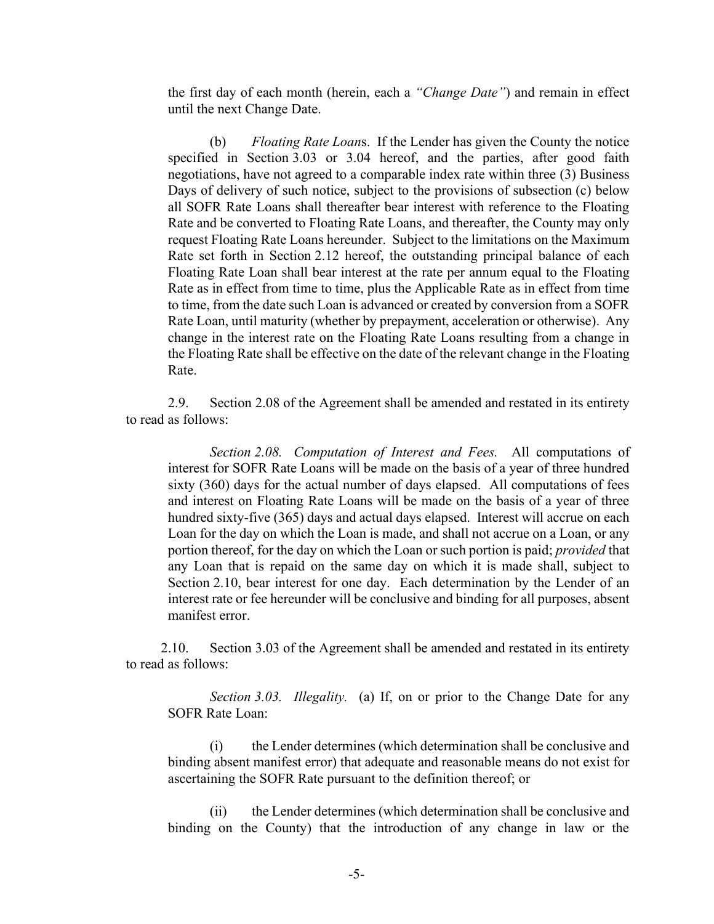the first day of each month (herein, each a *"Change Date"*) and remain in effect until the next Change Date.

(b) *Floating Rate Loan*s. If the Lender has given the County the notice specified in Section 3.03 or 3.04 hereof, and the parties, after good faith negotiations, have not agreed to a comparable index rate within three (3) Business Days of delivery of such notice, subject to the provisions of subsection (c) below all SOFR Rate Loans shall thereafter bear interest with reference to the Floating Rate and be converted to Floating Rate Loans, and thereafter, the County may only request Floating Rate Loans hereunder. Subject to the limitations on the Maximum Rate set forth in Section 2.12 hereof, the outstanding principal balance of each Floating Rate Loan shall bear interest at the rate per annum equal to the Floating Rate as in effect from time to time, plus the Applicable Rate as in effect from time to time, from the date such Loan is advanced or created by conversion from a SOFR Rate Loan, until maturity (whether by prepayment, acceleration or otherwise). Any change in the interest rate on the Floating Rate Loans resulting from a change in the Floating Rate shall be effective on the date of the relevant change in the Floating Rate.

2.9. Section 2.08 of the Agreement shall be amended and restated in its entirety to read as follows:

*Section 2.08. Computation of Interest and Fees.* All computations of interest for SOFR Rate Loans will be made on the basis of a year of three hundred sixty (360) days for the actual number of days elapsed. All computations of fees and interest on Floating Rate Loans will be made on the basis of a year of three hundred sixty-five (365) days and actual days elapsed. Interest will accrue on each Loan for the day on which the Loan is made, and shall not accrue on a Loan, or any portion thereof, for the day on which the Loan or such portion is paid; *provided* that any Loan that is repaid on the same day on which it is made shall, subject to Section 2.10, bear interest for one day. Each determination by the Lender of an interest rate or fee hereunder will be conclusive and binding for all purposes, absent manifest error.

2.10. Section 3.03 of the Agreement shall be amended and restated in its entirety to read as follows:

*Section 3.03. Illegality.* (a) If, on or prior to the Change Date for any SOFR Rate Loan:

(i) the Lender determines (which determination shall be conclusive and binding absent manifest error) that adequate and reasonable means do not exist for ascertaining the SOFR Rate pursuant to the definition thereof; or

(ii) the Lender determines (which determination shall be conclusive and binding on the County) that the introduction of any change in law or the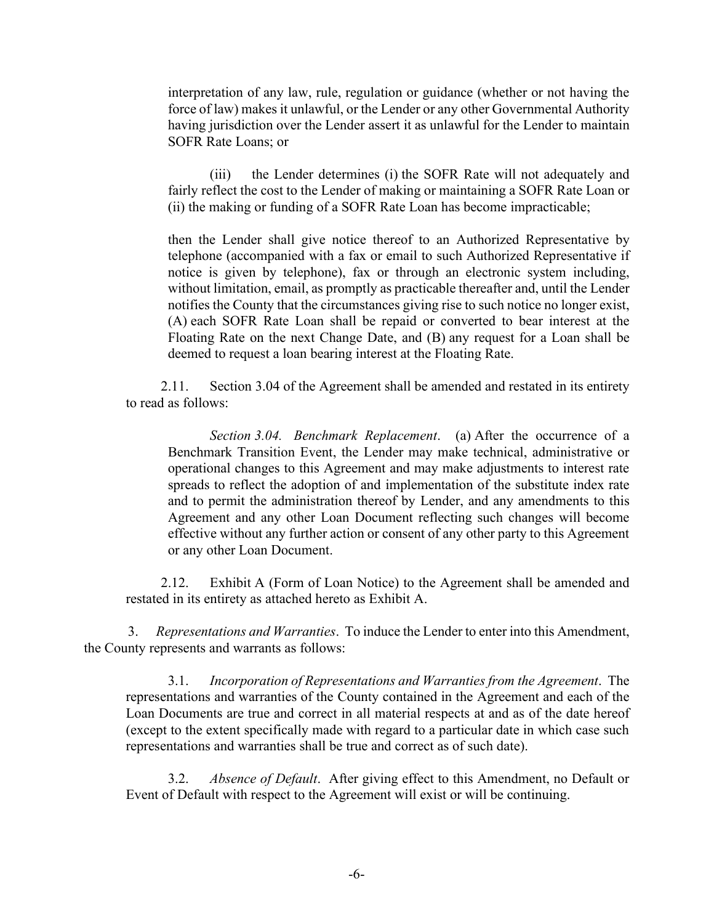interpretation of any law, rule, regulation or guidance (whether or not having the force of law) makes it unlawful, or the Lender or any other Governmental Authority having jurisdiction over the Lender assert it as unlawful for the Lender to maintain SOFR Rate Loans; or

(iii) the Lender determines (i) the SOFR Rate will not adequately and fairly reflect the cost to the Lender of making or maintaining a SOFR Rate Loan or (ii) the making or funding of a SOFR Rate Loan has become impracticable;

then the Lender shall give notice thereof to an Authorized Representative by telephone (accompanied with a fax or email to such Authorized Representative if notice is given by telephone), fax or through an electronic system including, without limitation, email, as promptly as practicable thereafter and, until the Lender notifies the County that the circumstances giving rise to such notice no longer exist, (A) each SOFR Rate Loan shall be repaid or converted to bear interest at the Floating Rate on the next Change Date, and (B) any request for a Loan shall be deemed to request a loan bearing interest at the Floating Rate.

2.11. Section 3.04 of the Agreement shall be amended and restated in its entirety to read as follows:

*Section 3.04. Benchmark Replacement*. (a) After the occurrence of a Benchmark Transition Event, the Lender may make technical, administrative or operational changes to this Agreement and may make adjustments to interest rate spreads to reflect the adoption of and implementation of the substitute index rate and to permit the administration thereof by Lender, and any amendments to this Agreement and any other Loan Document reflecting such changes will become effective without any further action or consent of any other party to this Agreement or any other Loan Document.

2.12. Exhibit A (Form of Loan Notice) to the Agreement shall be amended and restated in its entirety as attached hereto as Exhibit A.

3. *Representations and Warranties*. To induce the Lender to enter into this Amendment, the County represents and warrants as follows:

3.1. *Incorporation of Representations and Warranties from the Agreement*. The representations and warranties of the County contained in the Agreement and each of the Loan Documents are true and correct in all material respects at and as of the date hereof (except to the extent specifically made with regard to a particular date in which case such representations and warranties shall be true and correct as of such date).

3.2. *Absence of Default*. After giving effect to this Amendment, no Default or Event of Default with respect to the Agreement will exist or will be continuing.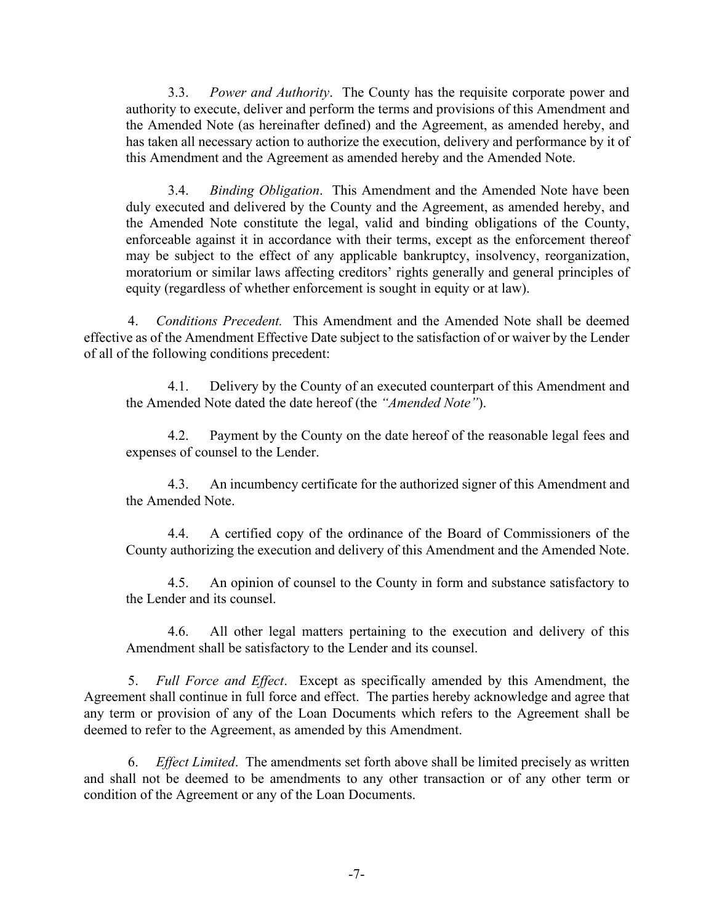3.3. *Power and Authority*. The County has the requisite corporate power and authority to execute, deliver and perform the terms and provisions of this Amendment and the Amended Note (as hereinafter defined) and the Agreement, as amended hereby, and has taken all necessary action to authorize the execution, delivery and performance by it of this Amendment and the Agreement as amended hereby and the Amended Note.

3.4. *Binding Obligation*. This Amendment and the Amended Note have been duly executed and delivered by the County and the Agreement, as amended hereby, and the Amended Note constitute the legal, valid and binding obligations of the County, enforceable against it in accordance with their terms, except as the enforcement thereof may be subject to the effect of any applicable bankruptcy, insolvency, reorganization, moratorium or similar laws affecting creditors' rights generally and general principles of equity (regardless of whether enforcement is sought in equity or at law).

4. *Conditions Precedent.* This Amendment and the Amended Note shall be deemed effective as of the Amendment Effective Date subject to the satisfaction of or waiver by the Lender of all of the following conditions precedent:

4.1. Delivery by the County of an executed counterpart of this Amendment and the Amended Note dated the date hereof (the *"Amended Note"*).

4.2. Payment by the County on the date hereof of the reasonable legal fees and expenses of counsel to the Lender.

4.3. An incumbency certificate for the authorized signer of this Amendment and the Amended Note.

4.4. A certified copy of the ordinance of the Board of Commissioners of the County authorizing the execution and delivery of this Amendment and the Amended Note.

4.5. An opinion of counsel to the County in form and substance satisfactory to the Lender and its counsel.

4.6. All other legal matters pertaining to the execution and delivery of this Amendment shall be satisfactory to the Lender and its counsel.

5. *Full Force and Effect*. Except as specifically amended by this Amendment, the Agreement shall continue in full force and effect. The parties hereby acknowledge and agree that any term or provision of any of the Loan Documents which refers to the Agreement shall be deemed to refer to the Agreement, as amended by this Amendment.

6. *Effect Limited*. The amendments set forth above shall be limited precisely as written and shall not be deemed to be amendments to any other transaction or of any other term or condition of the Agreement or any of the Loan Documents.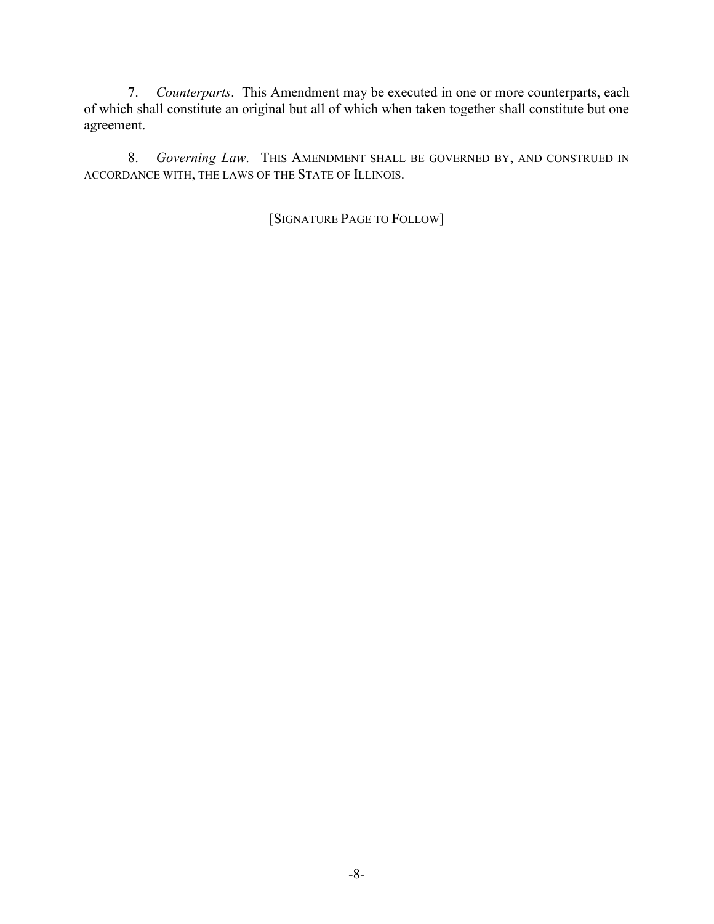7. *Counterparts*. This Amendment may be executed in one or more counterparts, each of which shall constitute an original but all of which when taken together shall constitute but one agreement.

8. *Governing Law*. THIS AMENDMENT SHALL BE GOVERNED BY, AND CONSTRUED IN ACCORDANCE WITH, THE LAWS OF THE STATE OF ILLINOIS.

[SIGNATURE PAGE TO FOLLOW]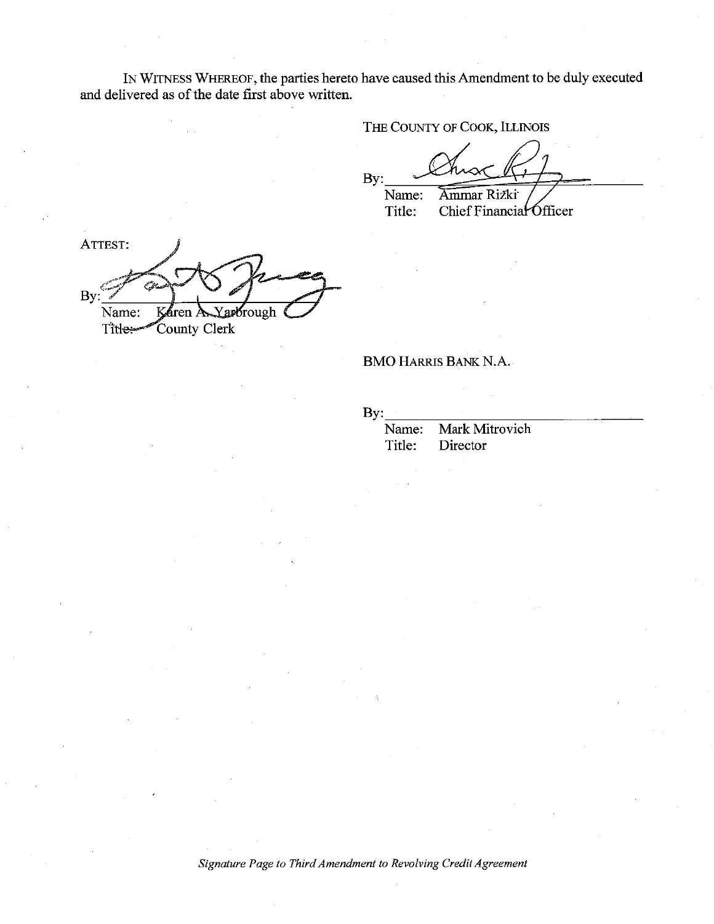IN WITNESS WHEREOF, the parties hereto have caused this Amendment to be duly executed and delivered as of the date first above written.

THE COUNTY OF COOK, ILLINOIS

By: Name: Ammar Rizki

Title: Chief Financial Officer

ATTEST: ين By: Yarbrough Name: Káren A County Clerk Titles

### **BMO HARRIS BANK N.A.**

 $\mathbf{By:}$ 

Mark Mitrovich Name: Title: Director

Signature Page to Third Amendment to Revolving Credit Agreement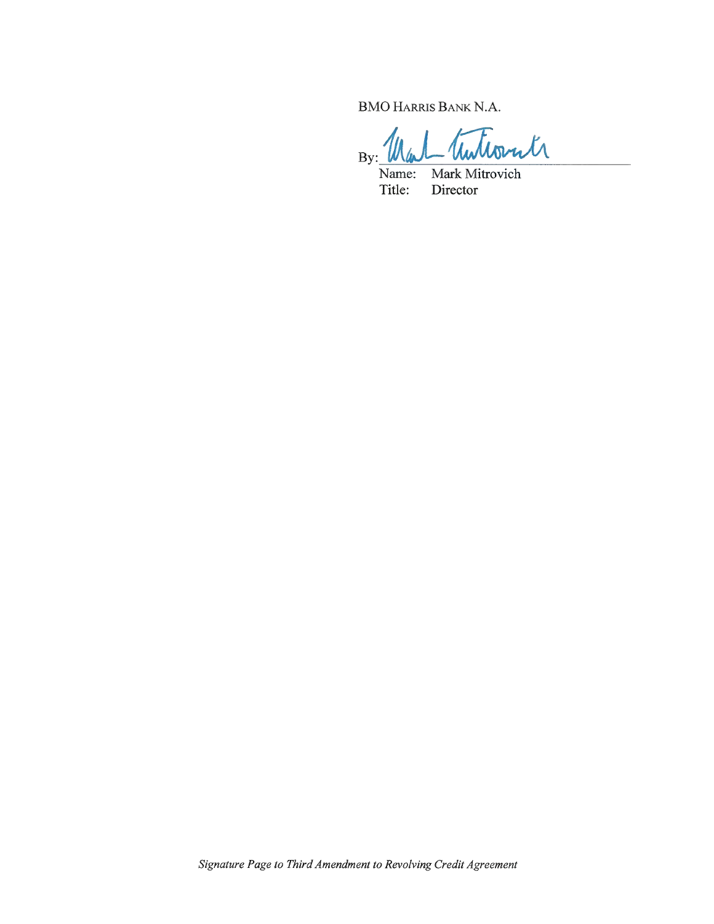**BMO HARRIS BANK N.A.** 

Tuttorite  $By:$ 

Name: Mark Mitrovich Title: Director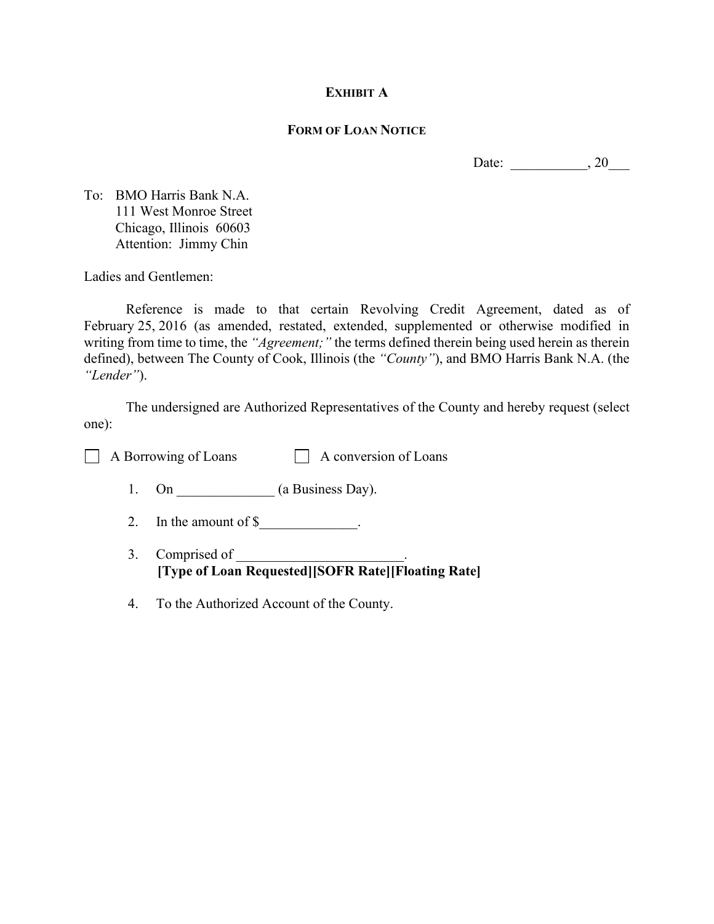# **EXHIBIT A**

### **FORM OF LOAN NOTICE**

Date: \_\_\_\_\_\_\_\_\_\_\_, 20\_\_\_\_

To: BMO Harris Bank N.A. 111 West Monroe Street Chicago, Illinois 60603 Attention: Jimmy Chin

Ladies and Gentlemen:

Reference is made to that certain Revolving Credit Agreement, dated as of February 25, 2016 (as amended, restated, extended, supplemented or otherwise modified in writing from time to time, the *"Agreement;"* the terms defined therein being used herein as therein defined), between The County of Cook, Illinois (the *"County"*), and BMO Harris Bank N.A. (the *"Lender"*).

The undersigned are Authorized Representatives of the County and hereby request (select one):

 $\Box$  A Borrowing of Loans  $\Box$  A conversion of Loans

- 1. On  $(a \text{ Business Day}).$
- 2. In the amount of  $\frac{1}{2}$ .
- 3. Comprised of **[Type of Loan Requested][SOFR Rate][Floating Rate]**
- 4. To the Authorized Account of the County.